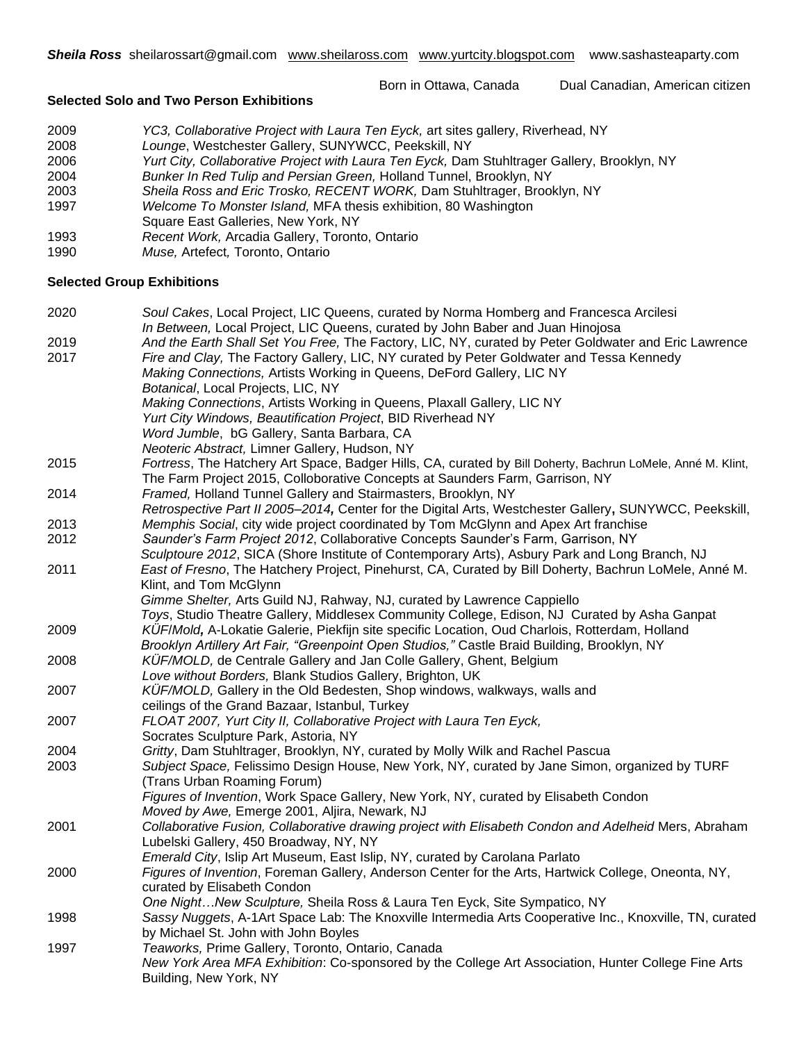Born in Ottawa, Canada Dual Canadian, American citizen

# **Selected Solo and Two Person Exhibitions**

| 2009 | YC3, Collaborative Project with Laura Ten Eyck, art sites gallery, Riverhead, NY            |
|------|---------------------------------------------------------------------------------------------|
| 2008 | Lounge, Westchester Gallery, SUNYWCC, Peekskill, NY                                         |
| 2006 | Yurt City, Collaborative Project with Laura Ten Eyck, Dam Stuhltrager Gallery, Brooklyn, NY |
| 2004 | Bunker In Red Tulip and Persian Green, Holland Tunnel, Brooklyn, NY                         |
| 2003 | Sheila Ross and Eric Trosko, RECENT WORK, Dam Stuhltrager, Brooklyn, NY                     |
| 1997 | Welcome To Monster Island, MFA thesis exhibition, 80 Washington                             |
|      | Square East Galleries, New York, NY                                                         |
| 1993 | Recent Work, Arcadia Gallery, Toronto, Ontario                                              |

1990 *Muse,* Artefect*,* Toronto, Ontario

# **Selected Group Exhibitions**

| 2020 | Soul Cakes, Local Project, LIC Queens, curated by Norma Homberg and Francesca Arcilesi                      |
|------|-------------------------------------------------------------------------------------------------------------|
|      | In Between, Local Project, LIC Queens, curated by John Baber and Juan Hinojosa                              |
| 2019 | And the Earth Shall Set You Free, The Factory, LIC, NY, curated by Peter Goldwater and Eric Lawrence        |
| 2017 | Fire and Clay, The Factory Gallery, LIC, NY curated by Peter Goldwater and Tessa Kennedy                    |
|      | Making Connections, Artists Working in Queens, DeFord Gallery, LIC NY                                       |
|      | Botanical, Local Projects, LIC, NY                                                                          |
|      | Making Connections, Artists Working in Queens, Plaxall Gallery, LIC NY                                      |
|      | Yurt City Windows, Beautification Project, BID Riverhead NY                                                 |
|      | Word Jumble, bG Gallery, Santa Barbara, CA                                                                  |
|      | Neoteric Abstract, Limner Gallery, Hudson, NY                                                               |
| 2015 | Fortress, The Hatchery Art Space, Badger Hills, CA, curated by Bill Doherty, Bachrun LoMele, Anné M. Klint, |
|      | The Farm Project 2015, Colloborative Concepts at Saunders Farm, Garrison, NY                                |
| 2014 | Framed, Holland Tunnel Gallery and Stairmasters, Brooklyn, NY                                               |
|      | Retrospective Part II 2005-2014, Center for the Digital Arts, Westchester Gallery, SUNYWCC, Peekskill,      |
| 2013 | Memphis Social, city wide project coordinated by Tom McGlynn and Apex Art franchise                         |
| 2012 | Saunder's Farm Project 2012, Collaborative Concepts Saunder's Farm, Garrison, NY                            |
|      | Sculptoure 2012, SICA (Shore Institute of Contemporary Arts), Asbury Park and Long Branch, NJ               |
| 2011 | East of Fresno, The Hatchery Project, Pinehurst, CA, Curated by Bill Doherty, Bachrun LoMele, Anné M.       |
|      | Klint, and Tom McGlynn                                                                                      |
|      | Gimme Shelter, Arts Guild NJ, Rahway, NJ, curated by Lawrence Cappiello                                     |
|      | Toys, Studio Theatre Gallery, Middlesex Community College, Edison, NJ Curated by Asha Ganpat                |
| 2009 | KÜF/Mold, A-Lokatie Galerie, Piekfijn site specific Location, Oud Charlois, Rotterdam, Holland              |
|      | Brooklyn Artillery Art Fair, "Greenpoint Open Studios," Castle Braid Building, Brooklyn, NY                 |
| 2008 | KÜF/MOLD, de Centrale Gallery and Jan Colle Gallery, Ghent, Belgium                                         |
|      | Love without Borders, Blank Studios Gallery, Brighton, UK                                                   |
| 2007 | KÜF/MOLD, Gallery in the Old Bedesten, Shop windows, walkways, walls and                                    |
|      | ceilings of the Grand Bazaar, Istanbul, Turkey                                                              |
| 2007 | FLOAT 2007, Yurt City II, Collaborative Project with Laura Ten Eyck,                                        |
|      | Socrates Sculpture Park, Astoria, NY                                                                        |
| 2004 | Gritty, Dam Stuhltrager, Brooklyn, NY, curated by Molly Wilk and Rachel Pascua                              |
| 2003 | Subject Space, Felissimo Design House, New York, NY, curated by Jane Simon, organized by TURF               |
|      | (Trans Urban Roaming Forum)                                                                                 |
|      | Figures of Invention, Work Space Gallery, New York, NY, curated by Elisabeth Condon                         |
|      | Moved by Awe, Emerge 2001, Aljira, Newark, NJ                                                               |
| 2001 | Collaborative Fusion, Collaborative drawing project with Elisabeth Condon and Adelheid Mers, Abraham        |
|      | Lubelski Gallery, 450 Broadway, NY, NY                                                                      |
|      | Emerald City, Islip Art Museum, East Islip, NY, curated by Carolana Parlato                                 |
| 2000 | Figures of Invention, Foreman Gallery, Anderson Center for the Arts, Hartwick College, Oneonta, NY,         |
|      | curated by Elisabeth Condon                                                                                 |
|      | One NightNew Sculpture, Sheila Ross & Laura Ten Eyck, Site Sympatico, NY                                    |
| 1998 | Sassy Nuggets, A-1Art Space Lab: The Knoxville Intermedia Arts Cooperative Inc., Knoxville, TN, curated     |
|      | by Michael St. John with John Boyles                                                                        |
| 1997 | Teaworks, Prime Gallery, Toronto, Ontario, Canada                                                           |
|      | New York Area MFA Exhibition: Co-sponsored by the College Art Association, Hunter College Fine Arts         |
|      | Building, New York, NY                                                                                      |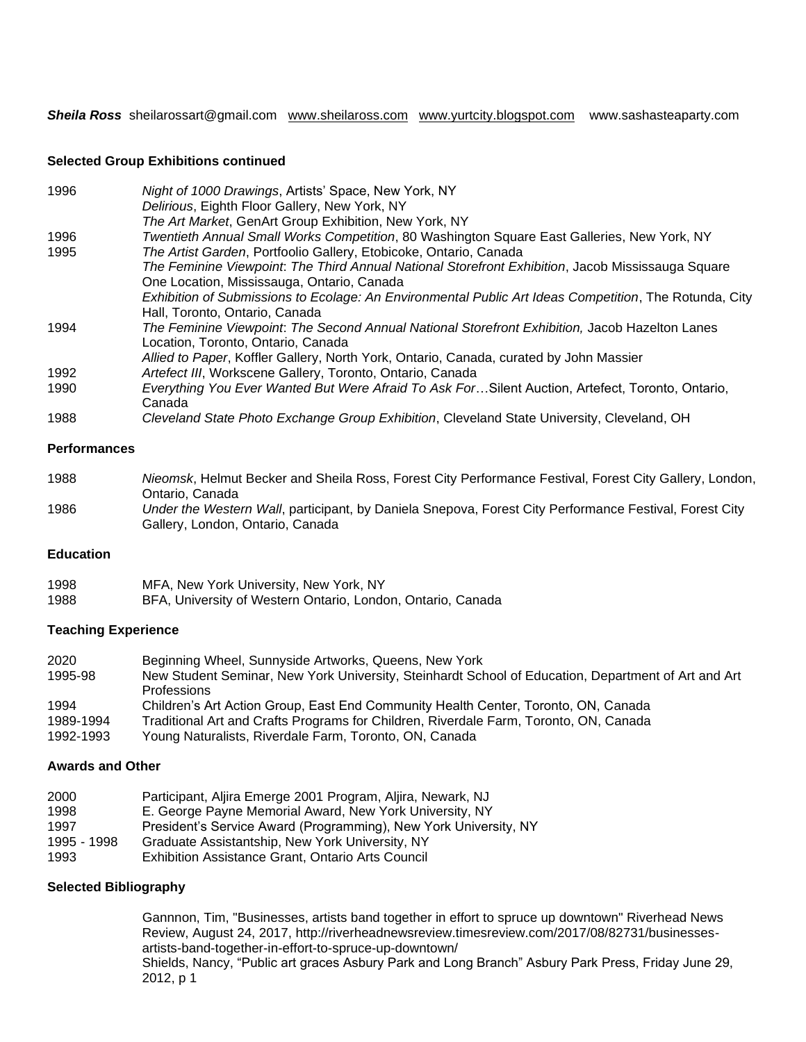*Sheila Ross* sheilarossart@gmail.com [www.sheilaross.com](http://www.sheilaross.com/) [www.yurtcity.blogspot.com](http://www.yurtcity.blogspot.com/) www.sashasteaparty.com

## **Selected Group Exhibitions continued**

| 1996 | Night of 1000 Drawings, Artists' Space, New York, NY                                                   |
|------|--------------------------------------------------------------------------------------------------------|
|      | Delirious, Eighth Floor Gallery, New York, NY                                                          |
|      | The Art Market, GenArt Group Exhibition, New York, NY                                                  |
| 1996 | Twentieth Annual Small Works Competition, 80 Washington Square East Galleries, New York, NY            |
| 1995 | The Artist Garden, Portfoolio Gallery, Etobicoke, Ontario, Canada                                      |
|      | The Feminine Viewpoint. The Third Annual National Storefront Exhibition, Jacob Mississauga Square      |
|      | One Location, Mississauga, Ontario, Canada                                                             |
|      | Exhibition of Submissions to Ecolage: An Environmental Public Art Ideas Competition, The Rotunda, City |
|      | Hall, Toronto, Ontario, Canada                                                                         |
| 1994 | The Feminine Viewpoint. The Second Annual National Storefront Exhibition, Jacob Hazelton Lanes         |
|      | Location, Toronto, Ontario, Canada                                                                     |
|      | Allied to Paper, Koffler Gallery, North York, Ontario, Canada, curated by John Massier                 |
| 1992 | Artefect III, Workscene Gallery, Toronto, Ontario, Canada                                              |
| 1990 | Everything You Ever Wanted But Were Afraid To Ask ForSilent Auction, Artefect, Toronto, Ontario,       |
|      | Canada                                                                                                 |
| 1988 | Cleveland State Photo Exchange Group Exhibition, Cleveland State University, Cleveland, OH             |

### **Performances**

| 1988 | Nieomsk, Helmut Becker and Sheila Ross, Forest City Performance Festival, Forest City Gallery, London, |
|------|--------------------------------------------------------------------------------------------------------|
|      | Ontario, Canada                                                                                        |
| 1986 | Under the Western Wall, participant, by Daniela Snepova, Forest City Performance Festival, Forest City |
|      | Gallery, London, Ontario, Canada                                                                       |

# **Education**

| 1998 | MFA, New York University, New York, NY                      |
|------|-------------------------------------------------------------|
| 1988 | BFA, University of Western Ontario, London, Ontario, Canada |

# **Teaching Experience**

| 2020      | Beginning Wheel, Sunnyside Artworks, Queens, New York                                               |
|-----------|-----------------------------------------------------------------------------------------------------|
| 1995-98   | New Student Seminar, New York University, Steinhardt School of Education, Department of Art and Art |
|           | <b>Professions</b>                                                                                  |
| 1994      | Children's Art Action Group, East End Community Health Center, Toronto, ON, Canada                  |
| 1989-1994 | Traditional Art and Crafts Programs for Children, Riverdale Farm, Toronto, ON, Canada               |
| 1992-1993 | Young Naturalists, Riverdale Farm, Toronto, ON, Canada                                              |

#### **Awards and Other**

| 2000 |  |  |  | Participant, Aljira Emerge 2001 Program, Aljira, Newark, NJ |  |  |  |  |
|------|--|--|--|-------------------------------------------------------------|--|--|--|--|
|      |  |  |  |                                                             |  |  |  |  |

- 1998 E. George Payne Memorial Award, New York University, NY
- 1997 President's Service Award (Programming), New York University, NY
- 1995 1998 Graduate Assistantship, New York University, NY
- 1993 Exhibition Assistance Grant, Ontario Arts Council

#### **Selected Bibliography**

Gannnon, Tim, "Businesses, artists band together in effort to spruce up downtown" Riverhead News Review, August 24, 2017, http://riverheadnewsreview.timesreview.com/2017/08/82731/businessesartists-band-together-in-effort-to-spruce-up-downtown/ Shields, Nancy, "Public art graces Asbury Park and Long Branch" Asbury Park Press, Friday June 29, 2012, p 1